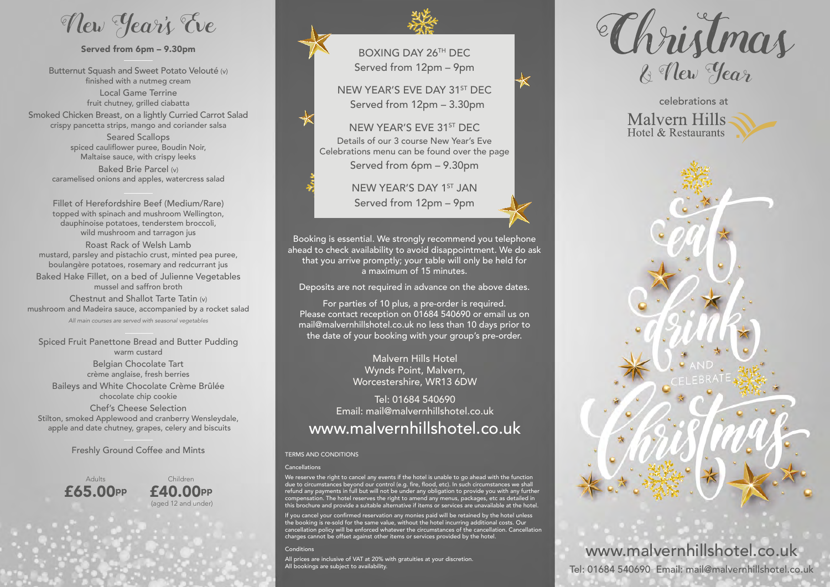New Year' s Eve

# Served from 6pm - 9.30pm

Butternut Squash and Sweet Potato Velouté (v) finished with a nutmeg cream Local Game Terrine fruit chutney, grilled ciabatta

Smoked Chicken Breast, on a lightly Curried Carrot Salad crispy pancetta strips, mango and coriander salsa

> Seared Scallops spiced cauliflower puree, Boudin Noir, Maltaise sauce, with crispy leeks

Baked Brie Parcel (v) caramelised onions and apples, watercress salad

Fillet of Herefordshire Beef (Medium/Rare) topped with spinach and mushroom Wellington, dauphinoise potatoes, tenderstem broccoli, wild mushroom and tarragon jus Roast Rack of Welsh Lamb mustard, parsley and pistachio crust, minted pea puree, boulangère potatoes, rosemary and redcurrant jus Baked Hake Fillet, on a bed of Julienne Vegetables

mussel and saffron broth

Chestnut and Shallot Tarte Tatin (v) mushroom and Madeira sauce, accompanied by a rocket salad

*All main courses are served with seasonal vegetables*

Spiced Fruit Panettone Bread and Butter Pudding warm custard

> Belgian Chocolate Tart crème anglaise, fresh berries

Baileys and White Chocolate Crème Brûlée chocolate chip cookie

Chef's Cheese Selection Stilton, smoked Applewood and cranberry Wensleydale, apple and date chutney, grapes, celery and biscuits

Freshly Ground Coffee and Mints TERMS AND CONDITIONS

Adults £65.00pp





BOXING DAY 26TH DEC Served from 12pm – 9pm

NEW YEAR'S EVE DAY 31ST DEC Served from 12pm – 3.30pm

NEW YEAR'S EVE 31ST DEC Details of our 3 course New Year's Eve Celebrations menu can be found over the page Served from 6pm – 9.30pm

> NEW YEAR'S DAY 1ST JAN Served from 12pm – 9pm

Booking is essential. We strongly recommend you telephone ahead to check availability to avoid disappointment. We do ask that you arrive promptly; your table will only be held for a maximum of 15 minutes.

Deposits are not required in advance on the above dates.

For parties of 10 plus, a pre-order is required. Please contact reception on 01684 540690 or email us on mail@malvernhillshotel.co.uk no less than 10 days prior to the date of your booking with your group's pre-order.

> Malvern Hills Hotel Wynds Point, Malvern, Worcestershire, WR13 6DW

Tel: 01684 540690 Email: mail@malvernhillshotel.co.uk www.malvernhillshotel.co.uk

### Cancellations

We reserve the right to cancel any events if the hotel is unable to go ahead with the function<br>due to circumstances beyond our control (e.g. fire, flood, etc). In such circumstances we shall<br>refund any payments in full but this brochure and provide a suitable alternative if items or services are unavailable at the hotel.

If you cancel your confirmed reservation any monies paid will be retained by the hotel unless the booking is re-sold for the same value, without the hotel incurring additional costs. Our cancellation policy will be enforced whatever the circumstances of the cancellation. Cancellation charges cannot be offset against other items or services provided by the hotel.

#### Conditions

All prices are inclusive of VAT at 20% with gratuities at your discretion. All bookings are subject to availability.







www.malvernhillshotel.co.uk Tel: 01684 540690 Email: mail@malvernhillshotel.co.uk